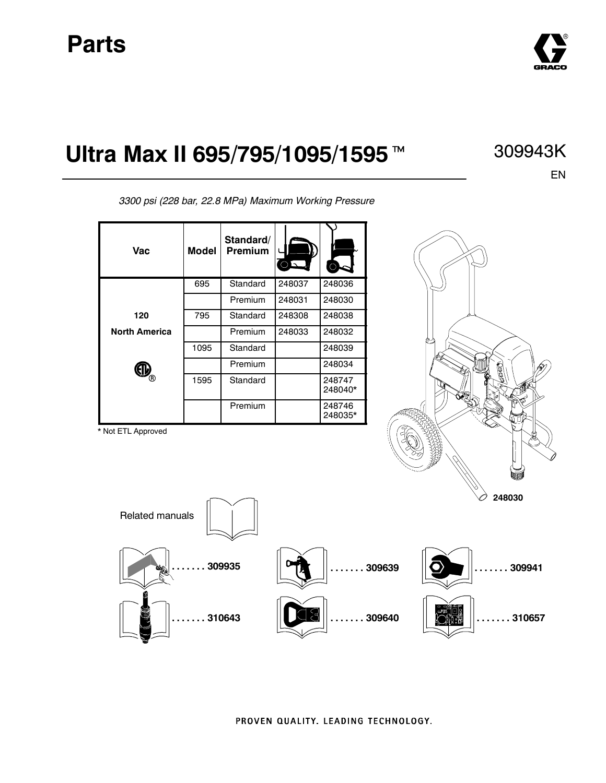

### **Ultra Max II 695/795/1095/1595™** 309943K

*3300 psi (228 bar, 22.8 MPa) Maximum Working Pressure*

**Standard/ Premium Vac Model**  $^{\prime}$ O 695 Standard 248037 248036 Premium 248031 248030 120 | 795 | Standard 248308 248038 **North America** | **Premium 248033 248032** 1095 Standard | 248039 Premium 248034  $\bm{\mathbb{\Theta}}_{\scriptscriptstyle\odot}$ 1595 Standard | 248747 248040\* Premium 248746 248035\*

\* Not ETL Approved





PROVEN QUALITY. LEADING TECHNOLOGY.

EN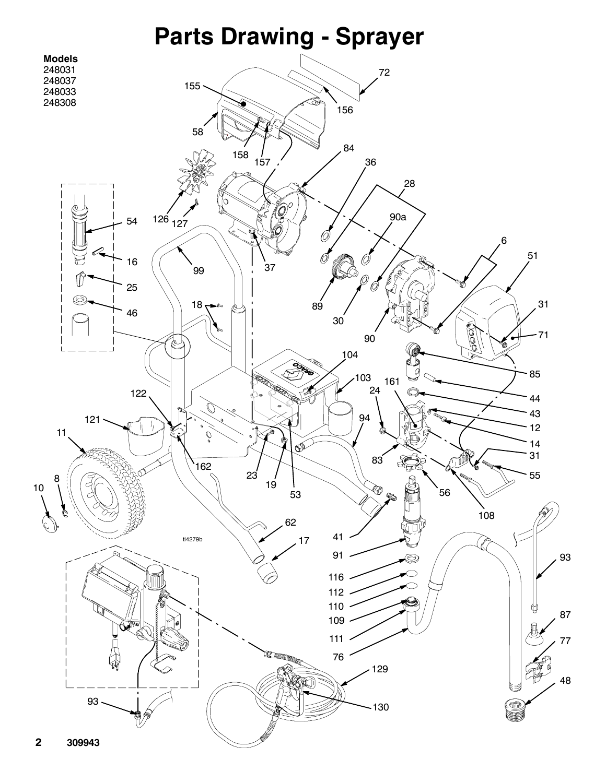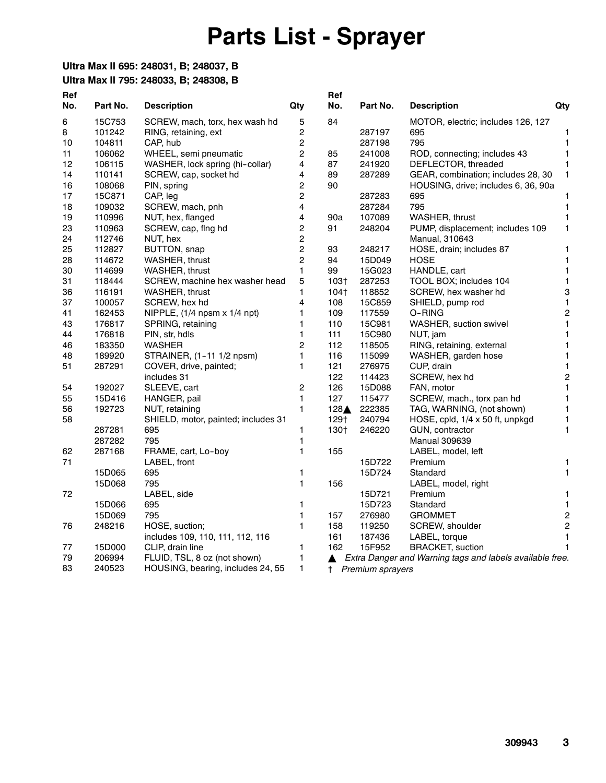# **Parts List - Sprayer**

#### **Ultra Max II 695: 248031, B; 248037, B**

**Ultra Max II 795: 248033, B; 248308, B**

| Ref<br>No. | Part No. | <b>Description</b>                  | Qty            | Ref<br>No. | Part No.         | <b>Description</b>                                       | Qty            |
|------------|----------|-------------------------------------|----------------|------------|------------------|----------------------------------------------------------|----------------|
| 6          | 15C753   | SCREW, mach, torx, hex wash hd      | 5              | 84         |                  | MOTOR, electric; includes 126, 127                       |                |
| 8          | 101242   | RING, retaining, ext                | 2              |            | 287197           | 695                                                      | 1              |
| 10         | 104811   | CAP, hub                            | 2              |            | 287198           | 795                                                      | 1              |
| 11         | 106062   | WHEEL, semi pneumatic               | 2              | 85         | 241008           | ROD, connecting; includes 43                             | 1              |
| 12         | 106115   | WASHER, lock spring (hi-collar)     | 4              | 87         | 241920           | DEFLECTOR, threaded                                      | 1              |
| 14         | 110141   | SCREW, cap, socket hd               | 4              | 89         | 287289           | GEAR, combination; includes 28, 30                       | 1              |
| 16         | 108068   | PIN, spring                         | 2              | 90         |                  | HOUSING, drive; includes 6, 36, 90a                      |                |
| 17         | 15C871   | CAP, leg                            | 2              |            | 287283           | 695                                                      | 1              |
| 18         | 109032   | SCREW, mach, pnh                    | 4              |            | 287284           | 795                                                      | 1              |
| 19         | 110996   | NUT, hex, flanged                   | 4              | 90a        | 107089           | WASHER, thrust                                           | $\mathbf{1}$   |
| 23         | 110963   | SCREW, cap, fing hd                 | 2              | 91         | 248204           | PUMP, displacement; includes 109                         | 1              |
| 24         | 112746   | NUT, hex                            | $\overline{c}$ |            |                  | Manual, 310643                                           |                |
| 25         | 112827   | BUTTON, snap                        | $\overline{c}$ | 93         | 248217           | HOSE, drain; includes 87                                 | 1              |
| 28         | 114672   | <b>WASHER, thrust</b>               | 2              | 94         | 15D049           | <b>HOSE</b>                                              | 1              |
| 30         | 114699   | WASHER, thrust                      | 1              | 99         | 15G023           | HANDLE, cart                                             | $\mathbf{1}$   |
| 31         | 118444   | SCREW, machine hex washer head      | 5              | 103†       | 287253           | TOOL BOX; includes 104                                   | 1              |
| 36         | 116191   | <b>WASHER, thrust</b>               | 1              | 104†       | 118852           | SCREW, hex washer hd                                     | 3              |
| 37         | 100057   | SCREW, hex hd                       | 4              | 108        | 15C859           | SHIELD, pump rod                                         | $\mathbf{1}$   |
| 41         | 162453   | NIPPLE, (1/4 npsm x 1/4 npt)        | 1              | 109        | 117559           | O-RING                                                   | $\mathbf 2$    |
| 43         | 176817   | SPRING, retaining                   | 1              | 110        | 15C981           | <b>WASHER, suction swivel</b>                            | 1              |
| 44         | 176818   | PIN, str, hdls                      | 1              | 111        | 15C980           | NUT, jam                                                 | 1              |
| 46         | 183350   | <b>WASHER</b>                       | $\overline{2}$ | 112        | 118505           | RING, retaining, external                                | 1              |
| 48         | 189920   | STRAINER, (1-11 1/2 npsm)           | 1              | 116        | 115099           | WASHER, garden hose                                      | 1              |
| 51         | 287291   | COVER, drive, painted;              | 1              | 121        | 276975           | CUP, drain                                               | 1              |
|            |          | includes 31                         |                | 122        | 114423           | SCREW, hex hd                                            | $\mathbf 2$    |
| 54         | 192027   | SLEEVE, cart                        | 2              | 126        | 15D088           | FAN, motor                                               | $\mathbf{1}$   |
| 55         | 15D416   | HANGER, pail                        | $\mathbf{1}$   | 127        | 115477           | SCREW, mach., torx pan hd                                | 1              |
| 56         | 192723   | NUT, retaining                      | 1              | 128▲       | 222385           | TAG, WARNING, (not shown)                                | 1              |
| 58         |          | SHIELD, motor, painted; includes 31 |                | 129†       | 240794           | HOSE, cpld, 1/4 x 50 ft, unpkgd                          | 1              |
|            | 287281   | 695                                 | 1              | 130†       | 246220           | GUN, contractor                                          | 1              |
|            | 287282   | 795                                 | 1              |            |                  | <b>Manual 309639</b>                                     |                |
| 62         | 287168   | FRAME, cart, Lo-boy                 | 1              | 155        |                  | LABEL, model, left                                       |                |
| 71         |          | LABEL, front                        |                |            | 15D722           | Premium                                                  | 1              |
|            | 15D065   | 695                                 | 1              |            | 15D724           | Standard                                                 | 1              |
|            | 15D068   | 795                                 | 1              | 156        |                  | LABEL, model, right                                      |                |
| 72         |          | LABEL, side                         |                |            | 15D721           | Premium                                                  | 1              |
|            | 15D066   | 695                                 | 1              |            | 15D723           | Standard                                                 | 1              |
|            | 15D069   | 795                                 | 1              | 157        | 276980           | <b>GROMMET</b>                                           | $\mathbf 2$    |
| 76         | 248216   | HOSE, suction;                      | 1              | 158        | 119250           | SCREW, shoulder                                          | $\overline{c}$ |
|            |          | includes 109, 110, 111, 112, 116    |                | 161        | 187436           | LABEL, torque                                            | 1              |
| 77         | 15D000   | CLIP, drain line                    | 1              | 162        | 15F952           | <b>BRACKET, suction</b>                                  |                |
| 79         | 206994   | FLUID, TSL, 8 oz (not shown)        | 1              |            |                  | Extra Danger and Warning tags and labels available free. |                |
| 83         | 240523   | HOUSING, bearing, includes 24, 55   | 1              | $^+$       | Premium sprayers |                                                          |                |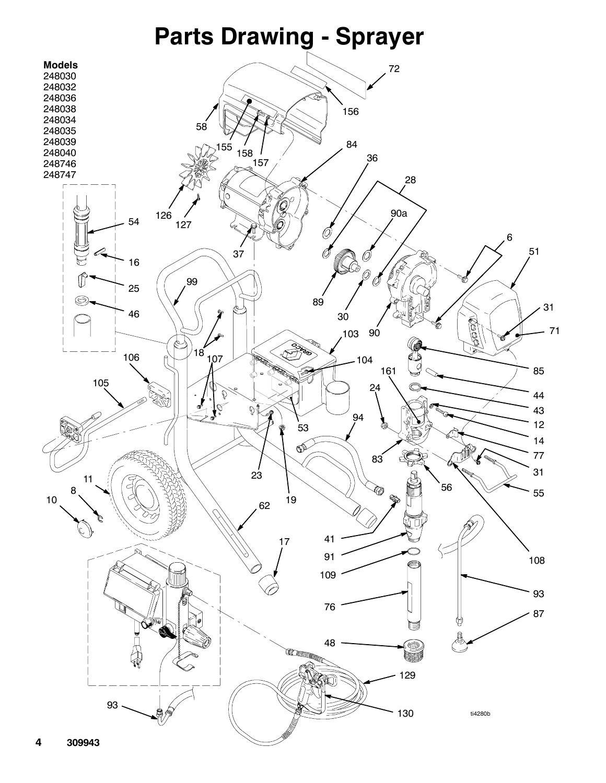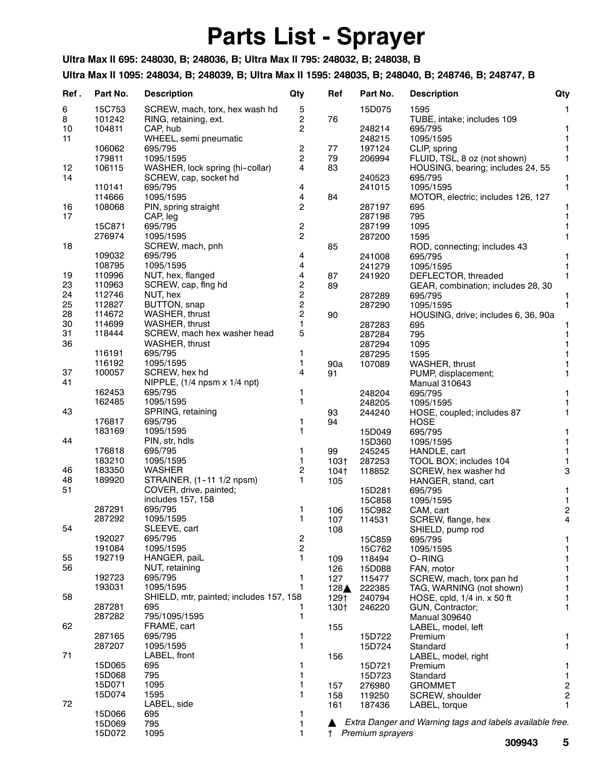### **Parts List - Sprayer**

#### **Ultra Max II 695: 248030, B; 248036, B; Ultra Max II 795: 248032, B; 248038, B**

**Ultra Max II 1095: 248034, B; 248039, B; Ultra Max II 1595: 248035, B; 248040, B; 248746, B; 248747, B**

| Ref. | Part No. | <b>Description</b>                             | Qty                     | Ref            | Part No.         | <b>Description</b>                                       | Qty          |
|------|----------|------------------------------------------------|-------------------------|----------------|------------------|----------------------------------------------------------|--------------|
| 6    | 15C753   | SCREW, mach, torx, hex wash hd                 | 5                       |                | 15D075           | 1595                                                     | $\mathbf{1}$ |
| 8    | 101242   | RING, retaining, ext.                          | $\overline{\mathbf{c}}$ | 76             |                  | TUBE, intake; includes 109                               |              |
| 10   | 104811   | CAP, hub                                       | 2                       |                | 248214           | 695/795                                                  | 1            |
|      |          |                                                |                         |                | 248215           |                                                          | 1            |
| 11   |          | WHEEL, semi pneumatic                          |                         |                |                  | 1095/1595                                                |              |
|      | 106062   | 695/795                                        | 2                       | 77             | 197124           | CLIP, spring                                             | 1            |
|      | 179811   | 1095/1595                                      | $\overline{c}$          | 79             | 206994           | FLUID, TSL, 8 oz (not shown)                             | 1            |
| 12   | 106115   | WASHER, lock spring (hi-collar)                | 4                       | 83             |                  | HOUSING, bearing; includes 24, 55                        |              |
| 14   |          | SCREW, cap, socket hd                          |                         |                | 240523           | 695/795                                                  | 1            |
|      | 110141   | 695/795                                        | 4                       |                | 241015           | 1095/1595                                                | $\mathbf{1}$ |
|      | 114666   | 1095/1595                                      | 4                       | 84             |                  | MOTOR, electric; includes 126, 127                       |              |
| 16   | 108068   | PIN, spring straight                           | $\overline{2}$          |                | 287197           | 695                                                      | 1            |
| 17   |          | CAP, leg                                       |                         |                | 287198           | 795                                                      | 1            |
|      | 15C871   | 695/795                                        | $\overline{\mathbf{c}}$ |                | 287199           | 1095                                                     | 1            |
|      | 276974   | 1095/1595                                      | $\overline{2}$          |                | 287200           | 1595                                                     | $\mathbf{1}$ |
| 18   |          | SCREW, mach, pnh                               |                         | 85             |                  | ROD, connecting; includes 43                             |              |
|      | 109032   | 695/795                                        | 4                       |                | 241008           | 695/795                                                  | 1            |
|      | 108795   | 1095/1595                                      | 4                       |                | 241279           | 1095/1595                                                | 1            |
| 19   | 110996   | NUT, hex, flanged                              | 4                       | 87             |                  |                                                          | $\mathbf{1}$ |
| 23   | 110963   | SCREW, cap, fing hd                            | $\overline{\mathbf{c}}$ |                | 241920           | DEFLECTOR, threaded                                      |              |
|      |          |                                                | $\overline{\mathbf{c}}$ | 89             |                  | GEAR, combination; includes 28, 30                       |              |
| 24   | 112746   | NUT, hex                                       |                         |                | 287289           | 695/795                                                  | 1            |
| 25   | 112827   | <b>BUTTON, snap</b>                            | 2                       |                | 287290           | 1095/1595                                                | 1            |
| 28   | 114672   | WASHER, thrust                                 | 2                       | 90             |                  | HOUSING, drive; includes 6, 36, 90a                      |              |
| 30   | 114699   | WASHER, thrust                                 | 1                       |                | 287283           | 695                                                      | 1            |
| 31   | 118444   | SCREW, mach hex washer head                    | 5                       |                | 287284           | 795                                                      | 1            |
| 36   |          | WASHER, thrust                                 |                         |                | 287294           | 1095                                                     | $\mathbf{1}$ |
|      | 116191   | 695/795                                        | 1                       |                | 287295           | 1595                                                     | 1            |
|      | 116192   | 1095/1595                                      | 1                       | 90a            | 107089           | WASHER, thrust                                           | 1            |
| 37   | 100057   | SCREW, hex hd                                  | 4                       | 91             |                  | PUMP, displacement;                                      | 1            |
| 41   |          | NIPPLE, $(1/4$ npsm $\times$ 1/4 npt)          |                         |                |                  | <b>Manual 310643</b>                                     |              |
|      | 162453   | 695/795                                        | 1                       |                | 248204           | 695/795                                                  | 1            |
|      | 162485   | 1095/1595                                      | $\mathbf{1}$            |                | 248205           | 1095/1595                                                | 1            |
| 43   |          | SPRING, retaining                              |                         | 93             | 244240           | HOSE, coupled; includes 87                               | $\mathbf{1}$ |
|      | 176817   | 695/795                                        | 1                       | 94             |                  | <b>HOSE</b>                                              |              |
|      | 183169   | 1095/1595                                      | 1                       |                |                  |                                                          |              |
|      |          |                                                |                         |                | 15D049           | 695/795                                                  | 1            |
| 44   |          | PIN, str, hdls                                 |                         |                | 15D360           | 1095/1595                                                | $\mathbf{1}$ |
|      | 176818   | 695/795                                        | 1                       | 99             | 245245           | HANDLE, cart                                             | $\mathbf{1}$ |
|      | 183210   | 1095/1595                                      | 1                       | 103†           | 287253           | TOOL BOX; includes 104                                   | 1            |
| 46   | 183350   | <b>WASHER</b>                                  | 2                       | 104†           | 118852           | SCREW, hex washer hd                                     | 3            |
| 48   | 189920   | STRAINER, (1-11 1/2 npsm)                      | 1                       | 105            |                  | HANGER, stand, cart                                      |              |
| 51   |          | COVER, drive, painted;                         |                         |                | 15D281           | 695/795                                                  | 1            |
|      |          | includes 157, 158                              |                         |                | 15C858           | 1095/1595                                                | 1            |
|      | 287291   | 695/795                                        | 1                       | 106            | 15C982           | CAM, cart                                                | $\mathbf{2}$ |
|      | 287292   | 1095/1595                                      | 1                       | 107            | 114531           | SCREW, flange, hex                                       | 4            |
| 54   |          | SLEEVE, cart                                   |                         | 108            |                  | SHIELD, pump rod                                         |              |
|      | 192027   | 695/795                                        | 2                       |                | 15C859           | 695/795                                                  | 1            |
|      | 191084   | 1095/1595                                      | 2                       |                | 15C762           | 1095/1595                                                | 1            |
| 55   | 192719   | HANGER, paiL                                   | 1                       | 109            | 118494           | O-RING                                                   | 1            |
| 56   |          | NUT, retaining                                 |                         | 126            | 15D088           | FAN, motor                                               | 1            |
|      | 192723   | 695/795                                        | 1                       | 127            | 115477           | SCREW, mach, torx pan hd                                 | 1            |
|      | 193031   | 1095/1595                                      | 1                       | $128\triangle$ | 222385           | TAG, WARNING (not shown)                                 | 1            |
| 58   |          |                                                |                         |                |                  |                                                          |              |
|      |          | SHIELD, mtr, painted; includes 157, 158<br>695 |                         | 129†           | 240794           | HOSE, cpld, 1/4 in. x 50 ft                              | 1            |
|      | 287281   |                                                |                         | 130†           | 246220           | GUN, Contractor;                                         | 1            |
|      | 287282   | 795/1095/1595                                  | 1                       |                |                  | <b>Manual 309640</b>                                     |              |
| 62   |          | FRAME, cart                                    |                         | 155            |                  | LABEL, model, left                                       |              |
|      | 287165   | 695/795                                        | 1                       |                | 15D722           | Premium                                                  | 1            |
|      | 287207   | 1095/1595                                      | 1                       |                | 15D724           | Standard                                                 | $\mathbf{1}$ |
| 71   |          | LABEL, front                                   |                         | 156            |                  | LABEL, model, right                                      |              |
|      | 15D065   | 695                                            | 1                       |                | 15D721           | Premium                                                  | 1            |
|      | 15D068   | 795                                            | 1                       |                | 15D723           | Standard                                                 | 1            |
|      | 15D071   | 1095                                           | 1                       | 157            | 276980           | <b>GROMMET</b>                                           | $\sqrt{2}$   |
|      | 15D074   | 1595                                           | 1                       | 158            | 119250           | SCREW, shoulder                                          | $\sqrt{2}$   |
| 72   |          | LABEL, side                                    |                         | 161            | 187436           | LABEL, torque                                            | 1            |
|      | 15D066   | 695                                            | 1                       |                |                  |                                                          |              |
|      | 15D069   | 795                                            | 1                       |                |                  | Extra Danger and Warning tags and labels available free. |              |
|      | 15D072   | 1095                                           | 1                       | t.             | Premium sprayers |                                                          |              |
|      |          |                                                |                         |                |                  |                                                          |              |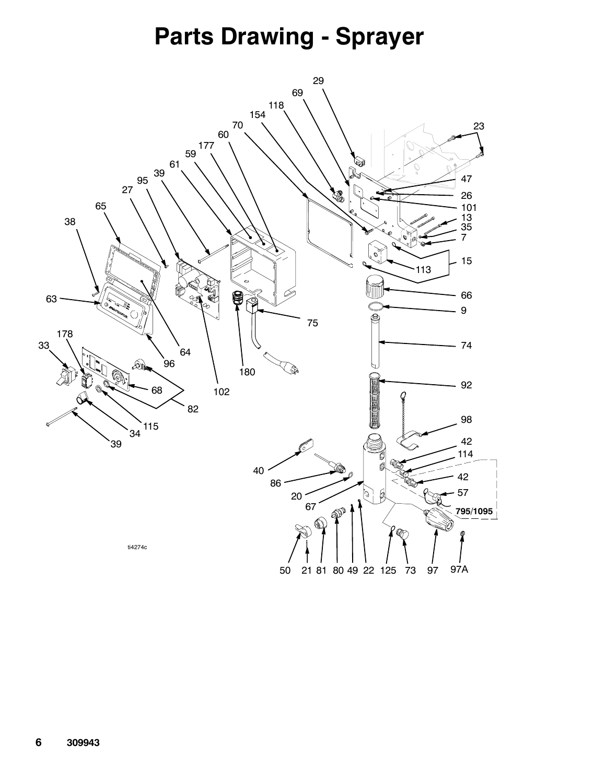# **Parts Drawing - Sprayer**

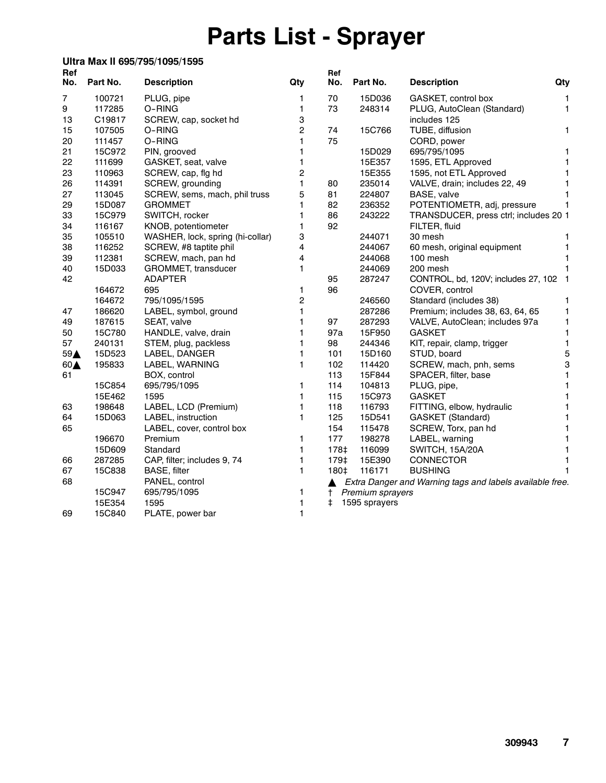# **Parts List - Sprayer**

| Ref |          | Ultra Max II 695/795/1095/1595   |                | Ref  |                  |                                                          |                |
|-----|----------|----------------------------------|----------------|------|------------------|----------------------------------------------------------|----------------|
| No. | Part No. | <b>Description</b>               | Qty            | No.  | Part No.         | <b>Description</b>                                       | Qty            |
| 7   | 100721   | PLUG, pipe                       | 1              | 70   | 15D036           | GASKET, control box                                      | $\mathbf{1}$   |
| 9   | 117285   | O-RING                           | 1              | 73   | 248314           | PLUG, AutoClean (Standard)                               | $\mathbf{1}$   |
| 13  | C19817   | SCREW, cap, socket hd            | 3              |      |                  | includes 125                                             |                |
| 15  | 107505   | O-RING                           | 2              | 74   | 15C766           | TUBE, diffusion                                          | $\mathbf{1}$   |
| 20  | 111457   | O-RING                           | 1              | 75   |                  | CORD, power                                              |                |
| 21  | 15C972   | PIN, grooved                     | 1              |      | 15D029           | 695/795/1095                                             | 1              |
| 22  | 111699   | GASKET, seat, valve              | 1              |      | 15E357           | 1595, ETL Approved                                       | 1              |
| 23  | 110963   | SCREW, cap, flg hd               | $\overline{2}$ |      | 15E355           | 1595, not ETL Approved                                   | $\mathbf{1}$   |
| 26  | 114391   | SCREW, grounding                 | 1              | 80   | 235014           | VALVE, drain; includes 22, 49                            | $\mathbf{1}$   |
| 27  | 113045   | SCREW, sems, mach, phil truss    | 5              | 81   | 224807           | BASE, valve                                              |                |
| 29  | 15D087   | <b>GROMMET</b>                   | 1              | 82   | 236352           | POTENTIOMETR, adj, pressure                              | 1              |
| 33  | 15C979   | SWITCH, rocker                   | 1              | 86   | 243222           | TRANSDUCER, press ctrl; includes 20 1                    |                |
| 34  | 116167   | KNOB, potentiometer              | 1              | 92   |                  | FILTER, fluid                                            |                |
| 35  | 105510   | WASHER, lock, spring (hi-collar) | 3              |      | 244071           | 30 mesh                                                  | 1              |
| 38  | 116252   | SCREW, #8 taptite phil           | 4              |      | 244067           | 60 mesh, original equipment                              | $\mathbf{1}$   |
| 39  | 112381   | SCREW, mach, pan hd              | 4              |      | 244068           | 100 mesh                                                 | 1              |
| 40  | 15D033   | GROMMET, transducer              | 1              |      | 244069           | 200 mesh                                                 | 1              |
| 42  |          | <b>ADAPTER</b>                   |                | 95   | 287247           | CONTROL, bd, 120V; includes 27, 102 1                    |                |
|     | 164672   | 695                              | 1              | 96   |                  | COVER, control                                           |                |
|     | 164672   | 795/1095/1595                    | $\overline{c}$ |      | 246560           | Standard (includes 38)                                   | 1              |
| 47  | 186620   | LABEL, symbol, ground            | 1              |      | 287286           | Premium; includes 38, 63, 64, 65                         | $\mathbf{1}$   |
| 49  | 187615   | SEAT, valve                      | 1              | 97   | 287293           | VALVE, AutoClean; includes 97a                           | 1              |
| 50  | 15C780   | HANDLE, valve, drain             | 1              | 97a  | 15F950           | <b>GASKET</b>                                            | 1              |
| 57  | 240131   | STEM, plug, packless             | 1              | 98   | 244346           | KIT, repair, clamp, trigger                              | $\mathbf{1}$   |
| 59▲ | 15D523   | LABEL, DANGER                    | 1              | 101  | 15D160           | STUD, board                                              | $\overline{5}$ |
| 60A | 195833   | LABEL, WARNING                   | 1              | 102  | 114420           | SCREW, mach, pnh, sems                                   | 3              |
| 61  |          | BOX, control                     |                | 113  | 15F844           | SPACER, filter, base                                     | 1              |
|     | 15C854   | 695/795/1095                     | 1              | 114  | 104813           | PLUG, pipe,                                              | $\mathbf{1}$   |
|     | 15E462   | 1595                             | 1              | 115  | 15C973           | <b>GASKET</b>                                            | 1              |
| 63  | 198648   | LABEL, LCD (Premium)             | 1              | 118  | 116793           | FITTING, elbow, hydraulic                                | 1              |
| 64  | 15D063   | LABEL, instruction               | 1              | 125  | 15D541           | <b>GASKET</b> (Standard)                                 | $\mathbf{1}$   |
| 65  |          | LABEL, cover, control box        |                | 154  | 115478           | SCREW, Torx, pan hd                                      | 1              |
|     | 196670   | Premium                          | 1              | 177  | 198278           | LABEL, warning                                           | 1              |
|     | 15D609   | Standard                         | 1              | 178‡ | 116099           | SWITCH, 15A/20A                                          | $\mathbf{1}$   |
| 66  | 287285   | CAP, filter; includes 9, 74      | 1              | 179‡ | 15E390           | CONNECTOR                                                | $\mathbf{1}$   |
| 67  | 15C838   | BASE, filter                     | 1              | 180‡ | 116171           | <b>BUSHING</b>                                           | 1              |
| 68  |          | PANEL, control                   |                | ▲    |                  | Extra Danger and Warning tags and labels available free. |                |
|     | 15C947   | 695/795/1095                     | 1              | t    | Premium sprayers |                                                          |                |
|     | 15E354   | 1595                             | 1              | ŧ    | 1595 sprayers    |                                                          |                |
| 69  | 15C840   | PLATE, power bar                 | 1              |      |                  |                                                          |                |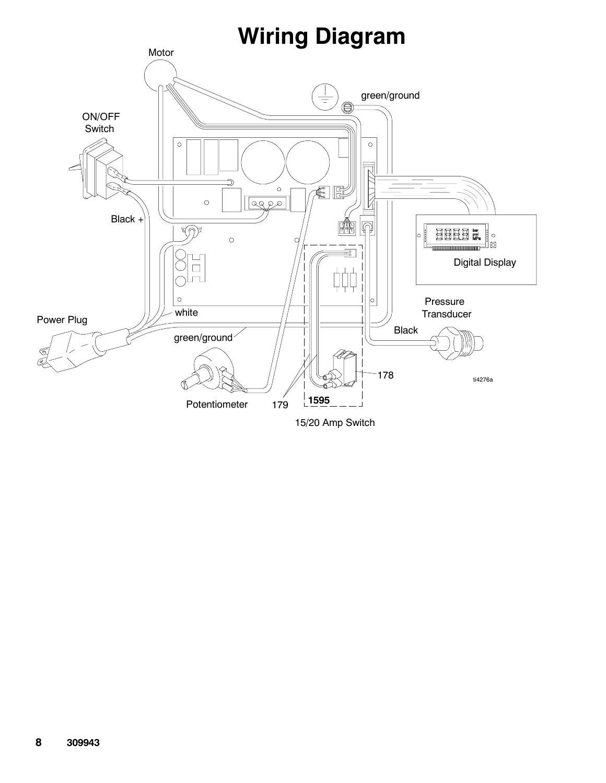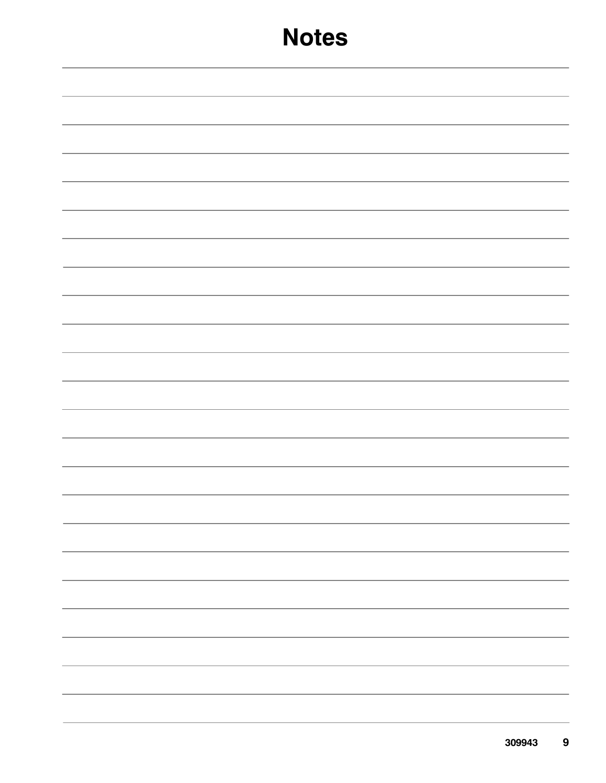#### **Notes**